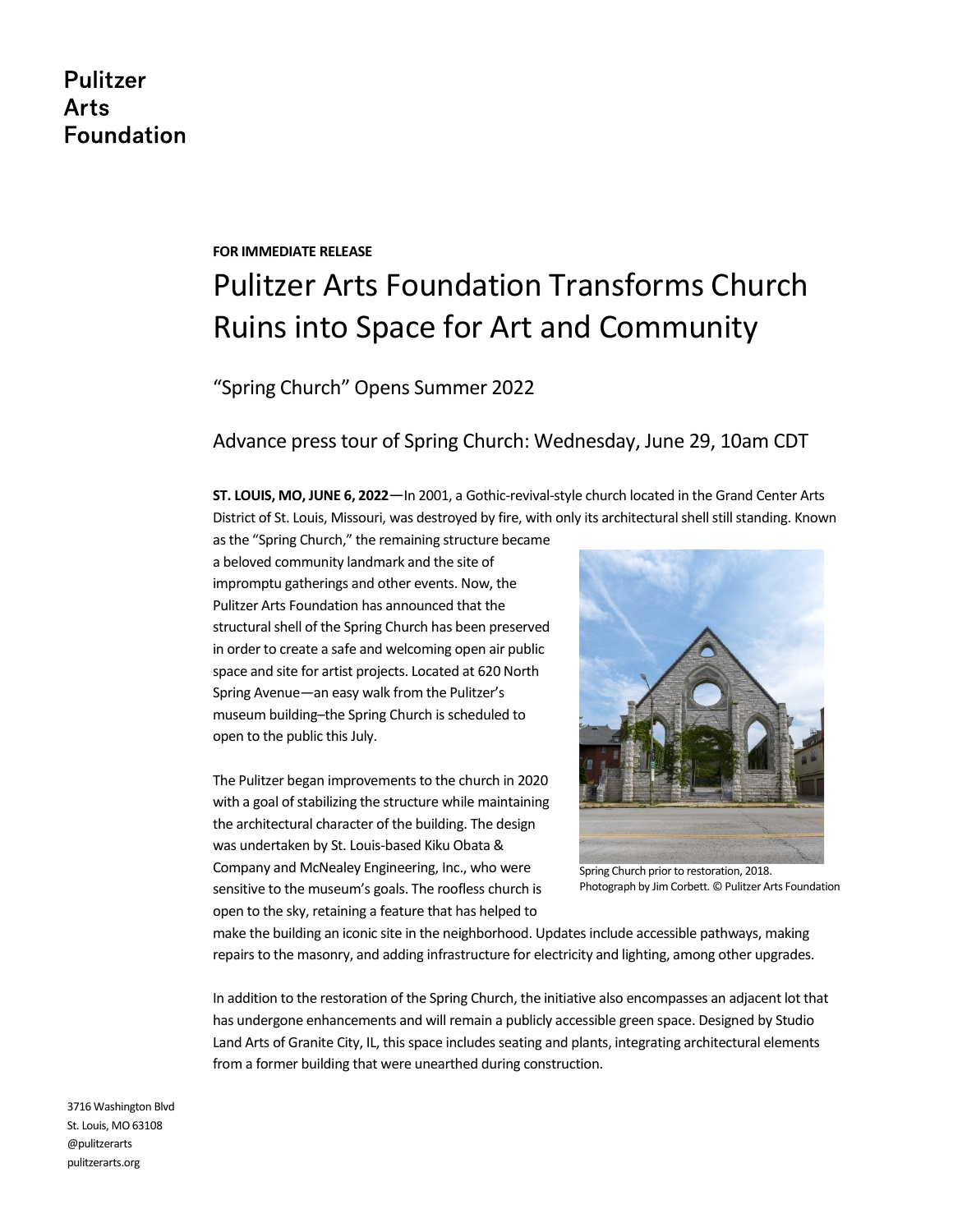# **Pulitzer Arts Foundation**

#### **FOR IMMEDIATE RELEASE**

# Pulitzer Arts Foundation Transforms Church Ruins into Space for Art and Community

"Spring Church" Opens Summer 2022

## Advance press tour of Spring Church: Wednesday, June 29, 10am CDT

**ST. LOUIS, MO, JUNE 6, 2022**—In 2001, a Gothic-revival-style church located in the Grand Center Arts District of St. Louis, Missouri, was destroyed by fire, with only its architectural shell still standing. Known

as the "Spring Church," the remaining structure became a beloved community landmark and the site of impromptu gatherings and other events. Now, the Pulitzer Arts Foundation has announced that the structural shell of the Spring Church has been preserved in order to create a safe and welcoming open air public space and site for artist projects. Located at 620 North Spring Avenue—an easy walk from the Pulitzer's museum building–the Spring Church is scheduled to open to the public this July.

The Pulitzer began improvements to the church in 2020 with a goal of stabilizing the structure while maintaining the architectural character of the building. The design was undertaken by St. Louis-based Kiku Obata & Company and McNealey Engineering, Inc., who were sensitive to the museum's goals. The roofless church is open to the sky, retaining a feature that has helped to



Spring Church prior to restoration, 2018. Photograph by Jim Corbett. © Pulitzer Arts Foundation

make the building an iconic site in the neighborhood. Updates include accessible pathways, making repairs to the masonry, and adding infrastructure for electricity and lighting, among other upgrades.

In addition to the restoration of the Spring Church, the initiative also encompasses an adjacent lot that has undergone enhancements and will remain a publicly accessible green space. Designed by Studio Land Arts of Granite City, IL, this space includes seating and plants, integrating architectural elements from a former building that were unearthed during construction.

3716 Washington Blvd St. Louis, MO 63108 @pulitzerarts pulitzerarts.org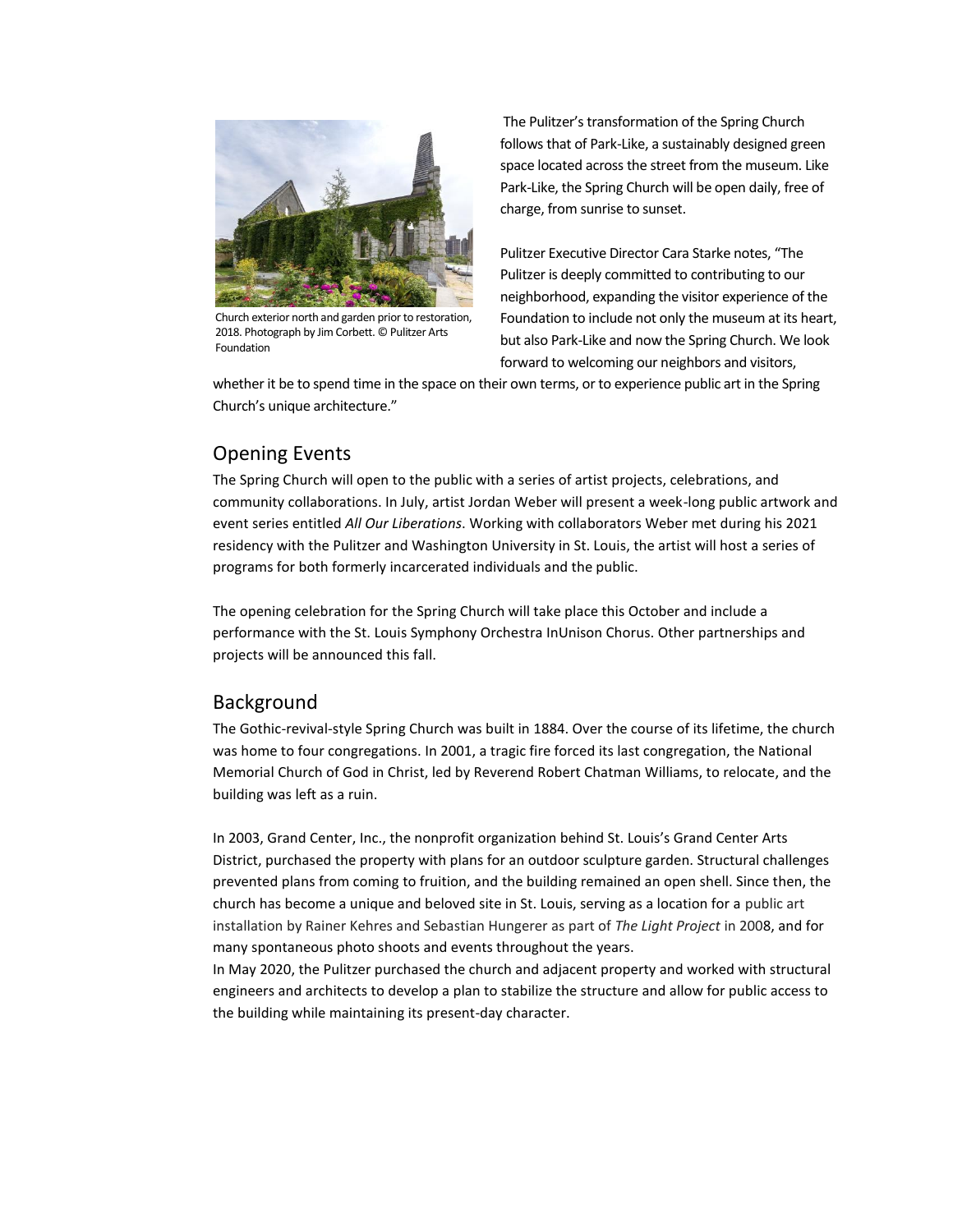

Church exterior north and garden prior to restoration, 2018. Photograph by Jim Corbett. © Pulitzer Arts Foundation

The Pulitzer's transformation of the Spring Church follows that of Park-Like, a sustainably designed green space located across the street from the museum. Like Park-Like, the Spring Church will be open daily, free of charge, from sunrise to sunset.

Pulitzer Executive Director Cara Starke notes, "The Pulitzer is deeply committed to contributing to our neighborhood, expanding the visitor experience of the Foundation to include not only the museum at its heart, but also Park-Like and now the Spring Church. We look forward to welcoming our neighbors and visitors,

whether it be to spend time in the space on their own terms, or to experience public art in the Spring Church's unique architecture."

### Opening Events

The Spring Church will open to the public with a series of artist projects, celebrations, and community collaborations. In July, artist Jordan Weber will present a week-long public artwork and event series entitled *All Our Liberations*. Working with collaborators Weber met during his 2021 residency with the Pulitzer and Washington University in St. Louis, the artist will host a series of programs for both formerly incarcerated individuals and the public.

The opening celebration for the Spring Church will take place this October and include a performance with the St. Louis Symphony Orchestra InUnison Chorus. Other partnerships and projects will be announced this fall.

### Background

The Gothic-revival-style Spring Church was built in 1884. Over the course of its lifetime, the church was home to four congregations. In 2001, a tragic fire forced its last congregation, the National Memorial Church of God in Christ, led by Reverend Robert Chatman Williams, to relocate, and the building was left as a ruin.

In 2003, Grand Center, Inc., the nonprofit organization behind St. Louis's Grand Center Arts District, purchased the property with plans for an outdoor sculpture garden. Structural challenges prevented plans from coming to fruition, and the building remained an open shell. Since then, the church has become a unique and beloved site in St. Louis, serving as a location for a public art installation by Rainer Kehres and Sebastian Hungerer as part of *The Light Project* in 2008, and for many spontaneous photo shoots and events throughout the years.

In May 2020, the Pulitzer purchased the church and adjacent property and worked with structural engineers and architects to develop a plan to stabilize the structure and allow for public access to the building while maintaining its present-day character.